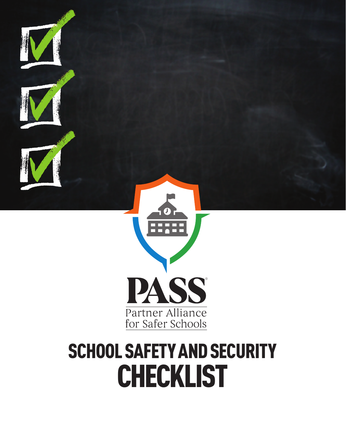

## SCHOOL SAFETY AND SECURITY CHECKLIST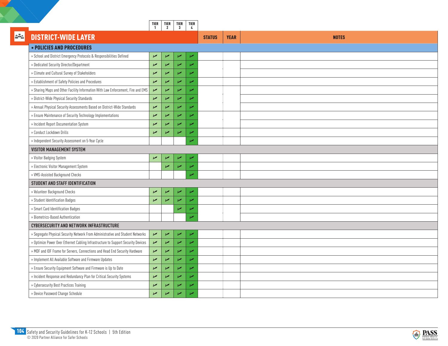|     |                                                                                   | TIER<br>1             | $\begin{bmatrix} \mathsf{TIER} \\ 2 \end{bmatrix}$ | TIER<br>3                | TIER<br>$\frac{1}{2}$    |               |             |              |
|-----|-----------------------------------------------------------------------------------|-----------------------|----------------------------------------------------|--------------------------|--------------------------|---------------|-------------|--------------|
| 252 | <b>DISTRICT-WIDE LAYER</b>                                                        |                       |                                                    |                          |                          | <b>STATUS</b> | <b>YEAR</b> | <b>NOTES</b> |
|     | • POLICIES AND PROCEDURES                                                         |                       |                                                    |                          |                          |               |             |              |
|     | » School and District Emergency Protocols & Responsibilities Defined              | $\blacktriangleright$ | $\sqrt{ }$                                         | $\sqrt{2}$               | $\overline{\phantom{a}}$ |               |             |              |
|     | » Dedicated Security Director/Department                                          | $\sqrt{2}$            | Z                                                  | $\sqrt{2}$               | $\overline{r}$           |               |             |              |
|     | » Climate and Cultural Survey of Stakeholders                                     | $\sqrt{2}$            | $\overline{\nu}$                                   | $\overline{\nu}$         | $\overline{\nu}$         |               |             |              |
|     | » Establishment of Safety Policies and Procedures                                 | $\sqrt{ }$            | ↙                                                  | $\overline{\phantom{a}}$ | $\overline{r}$           |               |             |              |
|     | » Sharing Maps and Other Facility Information With Law Enforcement, Fire and EMS  | $\sqrt{2}$            | $\sqrt{ }$                                         | $\sqrt{2}$               | Z                        |               |             |              |
|     | » District-Wide Physical Security Standards                                       | $\sqrt{ }$            | $\overline{v}$                                     | ↙                        | u                        |               |             |              |
|     | » Annual Physical Security Assessments Based on District-Wide Standards           | $\overline{v}$        | u                                                  | $\sqrt{2}$               | $\overline{r}$           |               |             |              |
|     | » Ensure Maintenance of Security Technology Implementations                       | $\sqrt{ }$            | ↙                                                  | $\sqrt{2}$               | $\overline{r}$           |               |             |              |
|     | » Incident Report Documentation System                                            | $\sqrt{ }$            | ↙                                                  | $\overline{\phantom{a}}$ | ↙                        |               |             |              |
|     | » Conduct Lockdown Drills                                                         | $\sqrt{2}$            | Z                                                  | $\overline{\phantom{a}}$ | u                        |               |             |              |
|     | » Independent Security Assessment on 5-Year Cycle                                 |                       |                                                    |                          | V                        |               |             |              |
|     | <b>VISITOR MANAGEMENT SYSTEM</b>                                                  |                       |                                                    |                          |                          |               |             |              |
|     | » Visitor Badging System                                                          | $\sqrt{ }$            | ↙                                                  | $\overline{\phantom{a}}$ | $\overline{\phantom{a}}$ |               |             |              |
|     | » Electronic Visitor Management System                                            |                       | Z                                                  | $\overline{\mathscr{L}}$ | $\overline{\nu}$         |               |             |              |
|     | » VMS-Assisted Background Checks                                                  |                       |                                                    |                          | Z                        |               |             |              |
|     | <b>STUDENT AND STAFF IDENTIFICATION</b>                                           |                       |                                                    |                          |                          |               |             |              |
|     | » Volunteer Background Checks                                                     | $\sqrt{ }$            | ↙                                                  | $\sqrt{2}$               | $\overline{\phantom{a}}$ |               |             |              |
|     | » Student Identification Badges                                                   | $\sqrt{2}$            | $\overline{\mathscr{C}}$                           | $\sqrt{2}$               | $\overline{\nu}$         |               |             |              |
|     | » Smart Card Identification Badges                                                |                       |                                                    | ↙                        | V                        |               |             |              |
|     | » Biometrics-Based Authentication                                                 |                       |                                                    |                          | u                        |               |             |              |
|     | <b>CYBERSECURITY AND NETWORK INFRASTRUCTURE</b>                                   |                       |                                                    |                          |                          |               |             |              |
|     | » Segregate Physical Security Network From Administrative and Student Networks    | $\blacktriangleright$ | $\sqrt{2}$                                         | $\sqrt{ }$               | ↙                        |               |             |              |
|     | » Optimize Power Over Ethernet Cabling Infrastructure to Support Security Devices | $\blacktriangleright$ | $\overline{\phantom{a}}$                           | $\overline{\phantom{a}}$ | $\overline{\nu}$         |               |             |              |
|     | » MDF and IDF Frame for Servers, Connections and Head End Security Hardware       | $\sqrt{2}$            | u                                                  | $\overline{v}$           | $\overline{r}$           |               |             |              |
|     | » Implement All Available Software and Firmware Updates                           | $\sqrt{2}$            | $\overline{\nu}$                                   | $\overline{\phantom{a}}$ | $\overline{r}$           |               |             |              |
|     | » Ensure Security Equipment Software and Firmware is Up to Date                   | $\sqrt{2}$            | ↙                                                  | $\overline{\phantom{a}}$ | Z                        |               |             |              |
|     | » Incident Response and Redundancy Plan for Critical Security Systems             | $\sqrt{2}$            | N                                                  | $\sqrt{2}$               | $\overline{r}$           |               |             |              |
|     | » Cybersecurity Best Practices Training                                           | $\sqrt{ }$            | ↙                                                  | $\sqrt{ }$               | $\overline{\phantom{a}}$ |               |             |              |
|     | » Device Password Change Schedule                                                 | $\sqrt{ }$            | $\sqrt{2}$                                         | $\sqrt{2}$               | مما                      |               |             |              |

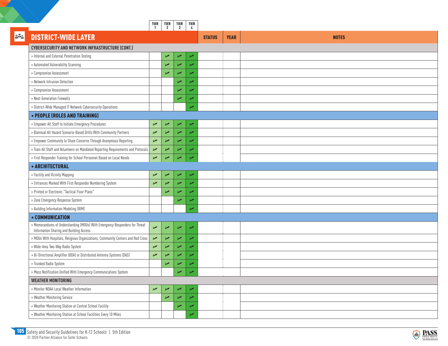|     |                                                                                                                       | TIER<br>$\mathbf{1}$  | TIER<br>2        | TIER<br>$\overline{\mathbf{3}}$ | TIER<br>$\frac{1}{2}$    |               |             |              |
|-----|-----------------------------------------------------------------------------------------------------------------------|-----------------------|------------------|---------------------------------|--------------------------|---------------|-------------|--------------|
| 222 | <b>DISTRICT-WIDE LAYER</b>                                                                                            |                       |                  |                                 |                          | <b>STATUS</b> | <b>YEAR</b> | <b>NOTES</b> |
|     | <b>CYBERSECURITY AND NETWORK INFRASTRUCTURE (CONT.)</b>                                                               |                       |                  |                                 |                          |               |             |              |
|     | » Internal and External Penetration Testing                                                                           |                       | $\sqrt{ }$       | ↙                               | $\overline{V}$           |               |             |              |
|     | » Automated Vulnerability Scanning                                                                                    |                       | $\sqrt{2}$       | $\overline{\phantom{a}}$        | ✔                        |               |             |              |
|     | » Compromise Assessment                                                                                               |                       | $\overline{v}$   | $\overline{\phantom{a}}$        | ✔                        |               |             |              |
|     | » Network Intrusion Detection                                                                                         |                       |                  | ↙                               | مما                      |               |             |              |
|     | » Compromise Assessment                                                                                               |                       |                  | $\overline{\phantom{a}}$        | مما                      |               |             |              |
|     | » Next-Generation Firewalls                                                                                           |                       |                  | $\overline{\phantom{a}}$        | مما                      |               |             |              |
|     | » District-Wide Managed IT Network Cybersecurity Operations                                                           |                       |                  |                                 | مما                      |               |             |              |
|     | • PEOPLE (ROLES AND TRAINING)                                                                                         |                       |                  |                                 |                          |               |             |              |
|     | » Empower All Staff to Initiate Emergency Procedures                                                                  | $\sqrt{ }$            | ↙                | ↙                               | $\overline{V}$           |               |             |              |
|     | » Biannual All Hazard Scenario-Based Drills With Community Partners                                                   | $\sqrt{2}$            | $\overline{r}$   | V                               | $\overline{\phantom{a}}$ |               |             |              |
|     | » Empower Community to Share Concerns Through Anonymous Reporting                                                     | $\sqrt{2}$            | $\sqrt{2}$       | $\sqrt{2}$                      | $\overline{v}$           |               |             |              |
|     | » Train All Staff and Volunteers on Mandated Reporting Requirements and Protocols                                     | $\sqrt{ }$            | $\sqrt{2}$       | $\overline{\phantom{a}}$        | ↙                        |               |             |              |
|     | » First Responder Training for School Personnel Based on Local Needs                                                  | $\sqrt{ }$            | $\overline{v}$   | $\sqrt{2}$                      | $\overline{\phantom{a}}$ |               |             |              |
|     | • ARCHITECTURAL                                                                                                       |                       |                  |                                 |                          |               |             |              |
|     | » Facility and Vicinity Mapping                                                                                       | $\blacktriangleright$ | ↙                | ↙                               | $\overline{V}$           |               |             |              |
|     | » Entrances Marked With First Responder Numbering System                                                              | $\sqrt{ }$            | $\sqrt{2}$       | $\overline{\phantom{a}}$        | $\overline{v}$           |               |             |              |
|     | » Printed or Electronic "Tactical Floor Plans"                                                                        |                       | $\overline{v}$   | $\overline{\phantom{a}}$        | صما                      |               |             |              |
|     | » Zone Emergency Response System                                                                                      |                       |                  | ↙                               | مرا                      |               |             |              |
|     | » Building Information Modeling (BIM)                                                                                 |                       |                  |                                 | مما                      |               |             |              |
|     | • COMMUNICATION                                                                                                       |                       |                  |                                 |                          |               |             |              |
|     | » Memorandums of Understanding (MOUs) With Emergency Responders for Threat<br>Information Sharing and Building Access | $\sqrt{2}$            | $\sqrt{ }$       | ↙                               | $\overline{\phantom{a}}$ |               |             |              |
|     | » MOUs With Hospitals, Religious Organizations, Community Centers and Red Cross                                       | $\blacktriangleright$ | $\sqrt{ }$       | $\overline{\phantom{a}}$        | $\overline{\phantom{a}}$ |               |             |              |
|     | » Wide-Area Two-Way Radio System                                                                                      | $\sqrt{ }$            | $\sqrt{2}$       | ↙                               | مما                      |               |             |              |
|     | » Bi-Directional Amplifier (BDA) or Distributed Antenna Systems (DAS)                                                 | ↙                     | $\sqrt{2}$       | $\overline{\phantom{a}}$        | مما                      |               |             |              |
|     | » Trunked Radio System                                                                                                |                       | $\overline{r}$   | ↙                               | مما                      |               |             |              |
|     | » Mass Notification Unified With Emergency Communications System                                                      |                       |                  | ↙                               | $\sqrt{ }$               |               |             |              |
|     | <b>WEATHER MONITORING</b>                                                                                             |                       |                  |                                 |                          |               |             |              |
|     | » Monitor NOAA Local Weather Information                                                                              | $\sqrt{ }$            | $\sqrt{ }$       | ↙                               |                          |               |             |              |
|     | » Weather Monitoring Service                                                                                          |                       | $\overline{\nu}$ | ↙                               |                          |               |             |              |
|     | » Weather Monitoring Station at Central School Facility                                                               |                       |                  | ↙                               |                          |               |             |              |
|     | » Weather Monitoring Station at School Facilities Every 10 Miles                                                      |                       |                  |                                 |                          |               |             |              |

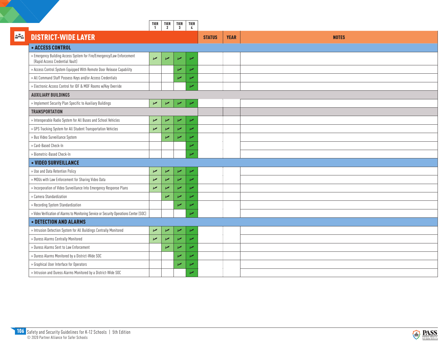|     |                                                                                                          | TIER<br>$\mathbf{1}$  | $\begin{array}{c} \n \text{TIER} \\ 2\n \end{array}$ | TIER<br>$\mathbf{3}$     | TIER<br>$\frac{1}{2}$    |                              |              |
|-----|----------------------------------------------------------------------------------------------------------|-----------------------|------------------------------------------------------|--------------------------|--------------------------|------------------------------|--------------|
| 252 | <b>DISTRICT-WIDE LAYER</b>                                                                               |                       |                                                      |                          |                          | <b>YEAR</b><br><b>STATUS</b> | <b>NOTES</b> |
|     | • ACCESS CONTROL                                                                                         |                       |                                                      |                          |                          |                              |              |
|     | » Emergency Building Access System for Fire/Emergency/Law Enforcement<br>(Rapid Access Credential Vault) | $\sqrt{2}$            | $\sqrt{ }$                                           | $\sqrt{2}$               | $\overline{\phantom{a}}$ |                              |              |
|     | » Access Control System Equipped With Remote Door Release Capability                                     |                       |                                                      | $\overline{\phantom{a}}$ | $\overline{r}$           |                              |              |
|     | » All Command Staff Possess Keys and/or Access Credentials                                               |                       |                                                      | $\overline{v}$           | مما                      |                              |              |
|     | » Electronic Access Control for IDF & MDF Rooms w/Key Override                                           |                       |                                                      |                          | Ø                        |                              |              |
|     | <b>AUXILIARY BUILDINGS</b>                                                                               |                       |                                                      |                          |                          |                              |              |
|     | » Implement Security Plan Specific to Auxiliary Buildings                                                | $\sqrt{ }$            | $\sqrt{2}$                                           | $\sqrt{ }$               | $\overline{\phantom{a}}$ |                              |              |
|     | <b>TRANSPORTATION</b>                                                                                    |                       |                                                      |                          |                          |                              |              |
|     | » Interoperable Radio System for All Buses and School Vehicles                                           | $\blacktriangleright$ | $\sqrt{ }$                                           | ↙                        | $\overline{\phantom{a}}$ |                              |              |
|     | » GPS Tracking System for All Student Transportation Vehicles                                            | $\sqrt{2}$            | $\overline{\phantom{a}}$                             | $\overline{\phantom{a}}$ | مما                      |                              |              |
|     | » Bus Video Surveillance System                                                                          |                       | ↙                                                    | $\overline{\phantom{a}}$ | u                        |                              |              |
|     | » Card-Based Check-In                                                                                    |                       |                                                      |                          | مما                      |                              |              |
|     | » Biometric-Based Check-In                                                                               |                       |                                                      |                          | u                        |                              |              |
|     | • VIDEO SURVEILLANCE                                                                                     |                       |                                                      |                          |                          |                              |              |
|     | » Use and Data Retention Policy                                                                          | $\sqrt{ }$            | И                                                    | ↙                        | ↙                        |                              |              |
|     | » MOUs with Law Enforcement for Sharing Video Data                                                       | Z                     | z                                                    | $\overline{v}$           | مما                      |                              |              |
|     | » Incorporation of Video Surveillance Into Emergency Response Plans                                      | $\sqrt{ }$            | N                                                    | $\sqrt{2}$               | ↙                        |                              |              |
|     | » Camera Standardization                                                                                 |                       | ↙                                                    | $\overline{\phantom{a}}$ | $\overline{r}$           |                              |              |
|     | » Recording System Standardization                                                                       |                       |                                                      | $\overline{\phantom{a}}$ | ↙                        |                              |              |
|     | » Video Verification of Alarms to Monitoring Service or Security Operations Center (SOC)                 |                       |                                                      |                          | Ø                        |                              |              |
|     | <b>• DETECTION AND ALARMS</b>                                                                            |                       |                                                      |                          |                          |                              |              |
|     | » Intrusion Detection System for All Buildings Centrally Monitored                                       | $\sqrt{ }$            | И                                                    | $\sqrt{2}$               | ↙                        |                              |              |
|     | » Duress Alarms Centrally Monitored                                                                      | $\sqrt{2}$            | $\overline{r}$                                       | $\overline{\phantom{a}}$ | مما                      |                              |              |
|     | » Duress Alarms Sent to Law Enforcement                                                                  |                       | Z                                                    | $\overline{\phantom{a}}$ | Ø                        |                              |              |
|     | » Duress Alarms Monitored by a District-Wide SOC                                                         |                       |                                                      | $\overline{\phantom{a}}$ | مما                      |                              |              |
|     | » Graphical User Interface for Operators                                                                 |                       |                                                      | $\overline{\phantom{a}}$ | مما                      |                              |              |
|     | » Intrusion and Duress Alarms Monitored by a District-Wide SOC                                           |                       |                                                      |                          | مما                      |                              |              |
|     |                                                                                                          |                       |                                                      |                          |                          |                              |              |

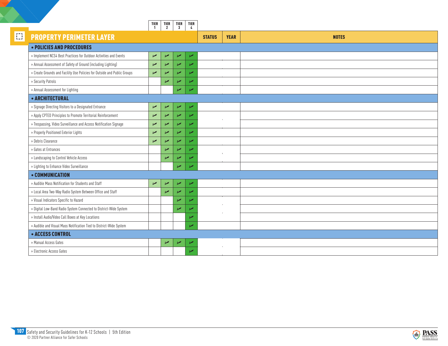|   |                                                                          | TIER<br>1             | TIER<br>2                | TIER<br>3                | TIER<br>4                |               |             |              |
|---|--------------------------------------------------------------------------|-----------------------|--------------------------|--------------------------|--------------------------|---------------|-------------|--------------|
| Ð | <b>PROPERTY PERIMETER LAYER</b>                                          |                       |                          |                          |                          | <b>STATUS</b> | <b>YEAR</b> | <b>NOTES</b> |
|   | • POLICIES AND PROCEDURES                                                |                       |                          |                          |                          |               |             |              |
|   | » Implement NCS4 Best Practices for Outdoor Activities and Events        | $\sqrt{ }$            | ↙                        | $\overline{\phantom{a}}$ | $\overline{\phantom{a}}$ |               |             |              |
|   | » Annual Assessment of Safety of Ground (including Lighting)             | $\sqrt{2}$            | $\overline{v}$           | $\overline{v}$           | مما                      |               |             |              |
|   | » Create Grounds and Facility Use Policies for Outside and Public Groups | $\sqrt{2}$            | $\sqrt{2}$               | $\overline{v}$           | مما                      |               |             |              |
|   | » Security Patrols                                                       |                       | V                        | $\overline{v}$           | $\overline{r}$           |               |             |              |
|   | » Annual Assessment for Lighting                                         |                       |                          | $\overline{\phantom{a}}$ | $\overline{\phantom{a}}$ |               |             |              |
|   | • ARCHITECTURAL                                                          |                       |                          |                          |                          |               |             |              |
|   | » Signage Directing Visitors to a Designated Entrance                    | $\blacktriangleright$ | ↙                        | $\sqrt{2}$               | $\overline{\phantom{a}}$ |               |             |              |
|   | » Apply CPTED Principles to Promote Territorial Reinforcement            | $\sqrt{2}$            | $\overline{\phantom{a}}$ | $\sqrt{ }$               | ↙                        |               |             |              |
|   | » Trespassing, Video Surveillance and Access Notification Signage        | $\sqrt{ }$            | V                        | $\overline{v}$           | И                        |               |             |              |
|   | » Properly Positioned Exterior Lights                                    | $\sqrt{2}$            | Z                        | $\sqrt{ }$               | مما                      |               |             |              |
|   | » Debris Clearance                                                       | $\sqrt{ }$            | $\overline{\phantom{a}}$ | $\overline{\phantom{a}}$ | $\overline{\phantom{0}}$ |               |             |              |
|   | » Gates at Entrances                                                     |                       | $\overline{r}$           | $\overline{v}$           | ✔                        |               |             |              |
|   | » Landscaping to Control Vehicle Access                                  |                       | ↙                        | И                        | مما                      |               |             |              |
|   | » Lighting to Enhance Video Surveillance                                 |                       |                          | $\overline{\phantom{a}}$ | مما                      |               |             |              |
|   | • COMMUNICATION                                                          |                       |                          |                          |                          |               |             |              |
|   | » Audible Mass Notification for Students and Staff                       | $\sqrt{ }$            | V                        | $\sqrt{2}$               | $\overline{\phantom{a}}$ |               |             |              |
|   | » Local Area Two-Way Radio System Between Office and Staff               |                       | ↙                        | $\overline{v}$           | И                        |               |             |              |
|   | » Visual Indicators Specific to Hazard                                   |                       |                          | $\overline{v}$           | $\overline{\phantom{a}}$ |               |             |              |
|   | » Digital Low-Band Radio System Connected to District-Wide System        |                       |                          | $\overline{\phantom{a}}$ | ↙                        |               |             |              |
|   | » Install Audio/Video Call Boxes at Key Locations                        |                       |                          |                          | مما                      |               |             |              |
|   | » Audible and Visual Mass Notification Tied to District-Wide System      |                       |                          |                          | $\overline{\phantom{a}}$ |               |             |              |
|   | <b>• ACCESS CONTROL</b>                                                  |                       |                          |                          |                          |               |             |              |
|   | » Manual Access Gates                                                    |                       | ↙                        | مما                      | ↙                        |               |             |              |
|   | » Electronic Access Gates                                                |                       |                          |                          | مما                      |               |             |              |

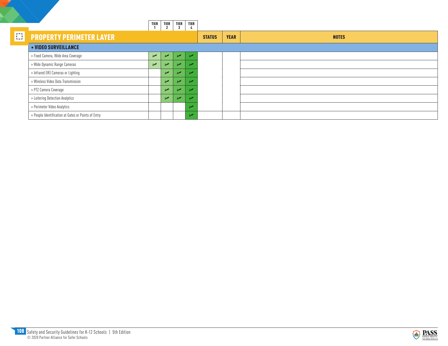|        |                                                     | <b>TIER</b> | TIER<br>$\overline{2}$ | <b>TIER</b><br>$\overline{3}$ | <b>TIER</b> |               |             |              |
|--------|-----------------------------------------------------|-------------|------------------------|-------------------------------|-------------|---------------|-------------|--------------|
| $\Box$ | <b>PROPERTY PERIMETER LAYER</b>                     |             |                        |                               |             | <b>STATUS</b> | <b>YEAR</b> | <b>NOTES</b> |
|        | • VIDEO SURVEILLANCE                                |             |                        |                               |             |               |             |              |
|        | » Fixed Camera, Wide Area Coverage                  | $\sqrt{ }$  | ↙                      | z                             |             |               |             |              |
|        | » Wide Dynamic Range Cameras                        | $\sqrt{ }$  | حرا                    |                               |             |               |             |              |
|        | » Infrared (IR) Cameras or Lighting                 |             | $\overline{v}$         |                               |             |               |             |              |
|        | » Wireless Video Data Transmission                  |             | $\overline{v}$         |                               |             |               |             |              |
|        | » PTZ Camera Coverage                               |             | $\overline{v}$         |                               |             |               |             |              |
|        | » Loitering Detection Analytics                     |             | $\overline{v}$         |                               |             |               |             |              |
|        | » Perimeter Video Analytics                         |             |                        |                               |             |               |             |              |
|        | » People Identification at Gates or Points of Entry |             |                        |                               | ممدا        |               |             |              |

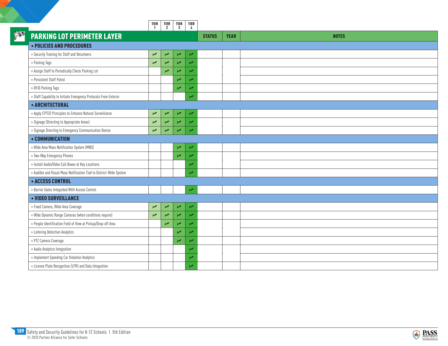|             |                                                                     | TIER<br>$\mathbf{1}$ | TIER<br>2      | TIER<br>$\overline{\mathbf{3}}$ | TIER<br>$\frac{1}{2}$    |                              |              |
|-------------|---------------------------------------------------------------------|----------------------|----------------|---------------------------------|--------------------------|------------------------------|--------------|
| <b>SPER</b> | <b>PARKING LOT PERIMETER LAYER</b>                                  |                      |                |                                 |                          | <b>STATUS</b><br><b>YEAR</b> | <b>NOTES</b> |
|             | <b>• POLICIES AND PROCEDURES</b>                                    |                      |                |                                 |                          |                              |              |
|             | » Security Training for Staff and Volunteers                        | $\sqrt{2}$           | $\sqrt{2}$     | $\overline{\phantom{a}}$        | ↙                        |                              |              |
|             | » Parking Tags                                                      | $\overline{r}$       | $\overline{r}$ | V                               | u                        |                              |              |
|             | » Assign Staff to Periodically Check Parking Lot                    |                      | $\overline{r}$ | $\overline{\phantom{a}}$        | $\overline{r}$           |                              |              |
|             | » Persistent Staff Patrol                                           |                      |                | $\overline{\phantom{a}}$        | مما                      |                              |              |
|             | » RFID Parking Tags                                                 |                      |                | V                               | مما                      |                              |              |
|             | » Staff Capability to Initiate Emergency Protocols From Exterior    |                      |                |                                 | مما                      |                              |              |
|             | • ARCHITECTURAL                                                     |                      |                |                                 |                          |                              |              |
|             | » Apply CPTED Principles to Enhance Natural Surveillance            | $\sqrt{2}$           | $\sqrt{2}$     | $\sqrt{ }$                      | $\overline{\phantom{a}}$ |                              |              |
|             | » Signage (Directing to Appropriate Areas)                          | $\overline{v}$       | $\sqrt{2}$     | $\overline{\phantom{a}}$        | مما                      |                              |              |
|             | » Signage Directing to Emergency Communication Device               | $\sqrt{2}$           | N              | $\overline{\phantom{a}}$        | مما                      |                              |              |
|             | • COMMUNICATION                                                     |                      |                |                                 |                          |                              |              |
|             | » Wide Area Mass Notification System (MNS)                          |                      |                | ↙                               | مما                      |                              |              |
|             | » Two-Way Emergency Phones                                          |                      |                | V                               | مما                      |                              |              |
|             | » Install Audio/Video Call Boxes at Key Locations                   |                      |                |                                 | ↙                        |                              |              |
|             | » Audible and Visual Mass Notification Tied to District-Wide System |                      |                |                                 | u                        |                              |              |
|             | • ACCESS CONTROL                                                    |                      |                |                                 |                          |                              |              |
|             | » Barrier Gates Integrated With Access Control                      |                      |                |                                 | $\overline{\phantom{a}}$ |                              |              |
|             | • VIDEO SURVEILLANCE                                                |                      |                |                                 |                          |                              |              |
|             | » Fixed Camera, Wide Area Coverage                                  | $\overline{v}$       | $\sqrt{ }$     | $\overline{r}$                  | ↙                        |                              |              |
|             | » Wide Dynamic Range Cameras (when conditions require)              | $\overline{v}$       | $\overline{r}$ | Z                               | $\overline{\phantom{0}}$ |                              |              |
|             | » People Identification Field of View at Pickup/Drop-off Area       |                      | V              | $\overline{\phantom{a}}$        | u                        |                              |              |
|             | » Loitering Detection Analytics                                     |                      |                | ↙                               | مما                      |                              |              |
|             | » PTZ Camera Coverage                                               |                      |                | $\overline{\phantom{a}}$        | مما                      |                              |              |
|             | » Audio Analytics Integration                                       |                      |                |                                 | ↙                        |                              |              |
|             | » Implement Speeding Car Violation Analytics                        |                      |                |                                 | z                        |                              |              |
|             | » License Plate Recognition (LPR) and Data Integration              |                      |                |                                 | u                        |                              |              |

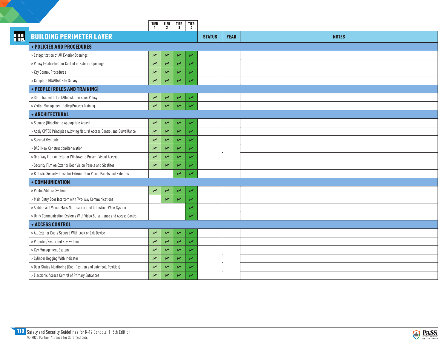|   |                                                                           | TIER<br>$\mathbf{1}$  | TIER  <br>$\overline{2}$ | TIER<br>$\mathbf{3}$     | TIER<br>$\sim$           |               |             |              |
|---|---------------------------------------------------------------------------|-----------------------|--------------------------|--------------------------|--------------------------|---------------|-------------|--------------|
| H | <b>BUILDING PERIMETER LAYER</b>                                           |                       |                          |                          |                          | <b>STATUS</b> | <b>YEAR</b> | <b>NOTES</b> |
|   | • POLICIES AND PROCEDURES                                                 |                       |                          |                          |                          |               |             |              |
|   | » Categorization of All Exterior Openings                                 | $\sqrt{2}$            | $\sqrt{ }$               | ↙                        | $\overline{\phantom{a}}$ |               |             |              |
|   | » Policy Established for Control of Exterior Openings                     | $\overline{r}$        | Z                        | $\overline{\mathscr{C}}$ | $\overline{v}$           |               |             |              |
|   | » Key Control Procedures                                                  | $\blacktriangleright$ | $\overline{v}$           | $\overline{\nu}$         | $\overline{\phantom{a}}$ |               |             |              |
|   | » Complete BDA/DAS Site Survey                                            | $\sqrt{2}$            | $\overline{\phantom{0}}$ | $\overline{\phantom{a}}$ | مما                      |               |             |              |
|   | • PEOPLE (ROLES AND TRAINING)                                             |                       |                          |                          |                          |               |             |              |
|   | » Staff Trained to Lock/Unlock Doors per Policy                           | $\sqrt{2}$            | $\overline{r}$           | $\sqrt{2}$               | $\overline{\phantom{a}}$ |               |             |              |
|   | » Visitor Management Policy/Process Training                              | $\sqrt{ }$            | $\overline{v}$           | $\sqrt{ }$               | V                        |               |             |              |
|   | • ARCHITECTURAL                                                           |                       |                          |                          |                          |               |             |              |
|   | » Signage (Directing to Appropriate Areas)                                | $\blacktriangleright$ | $\sqrt{ }$               | $\sqrt{2}$               | $\overline{r}$           |               |             |              |
|   | » Apply CPTED Principles Allowing Natural Access Control and Surveillance | $\blacktriangleright$ | $\overline{\phantom{a}}$ | $\overline{\phantom{a}}$ | $\overline{r}$           |               |             |              |
|   | » Secured Vestibule                                                       | $\sqrt{2}$            | $\overline{\nu}$         | $\overline{\phantom{a}}$ | مما                      |               |             |              |
|   | » DAS (New Construction/Renovation)                                       | ↙                     | $\overline{v}$           | ↙                        | مما                      |               |             |              |
|   | » One-Way Film on Exterior Windows to Prevent Visual Access               | ↙                     | $\overline{v}$           | $\overline{\phantom{a}}$ | مما                      |               |             |              |
|   | » Security Film on Exterior Door Vision Panels and Sidelites              | ↙                     | Z                        | ↙                        | مما                      |               |             |              |
|   | » Ballistic Security Glass for Exterior Door Vision Panels and Sidelites  |                       |                          | Z                        | īΖ                       |               |             |              |
|   | • COMMUNICATION                                                           |                       |                          |                          |                          |               |             |              |
|   | » Public Address System                                                   | $\overline{v}$        | $\sqrt{ }$               |                          | $\overline{\phantom{a}}$ |               |             |              |
|   | » Main Entry Door Intercom with Two-Way Communications                    |                       | $\overline{r}$           | z                        | $\overline{\phantom{a}}$ |               |             |              |
|   | » Audible and Visual Mass Notification Tied to District-Wide System       |                       |                          |                          | مما                      |               |             |              |
|   | » Unify Communication Systems With Video Surveillance and Access Control  |                       |                          |                          | مما                      |               |             |              |
|   | • ACCESS CONTROL                                                          |                       |                          |                          |                          |               |             |              |
|   | » All Exterior Doors Secured With Lock or Exit Device                     | $\blacktriangleright$ | $\overline{r}$           | $\sqrt{2}$               | $\overline{r}$           |               |             |              |
|   | » Patented/Restricted Key System                                          | $\sqrt{ }$            | Z                        | $\overline{\phantom{a}}$ | V                        |               |             |              |
|   | » Key Management System                                                   | $\sqrt{2}$            | $\overline{r}$           | $\overline{\phantom{a}}$ | И                        |               |             |              |
|   | » Cylinder Dogging With Indicator                                         | $\sqrt{ }$            | $\overline{\mathscr{C}}$ | ↙                        | V                        |               |             |              |
|   | » Door Status Monitoring (Door Position and Latchbolt Position)           | $\sqrt{ }$            | $\sqrt{2}$               | ↙                        | ↙                        |               |             |              |
|   | » Electronic Access Control of Primary Entrances                          | ↙                     | $\sqrt{2}$               | ↙                        | مما                      |               |             |              |

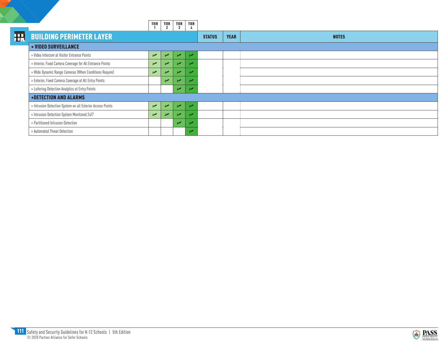|   |                                                            | <b>TIER</b> | <b>TIER</b><br>$\overline{2}$ | <b>TIER</b>    | <b>TIER</b> |               |             |              |
|---|------------------------------------------------------------|-------------|-------------------------------|----------------|-------------|---------------|-------------|--------------|
| H | <b>BUILDING PERIMETER LAYER</b>                            |             |                               |                |             | <b>STATUS</b> | <b>YEAR</b> | <b>NOTES</b> |
|   | • VIDEO SURVEILLANCE                                       |             |                               |                |             |               |             |              |
|   | » Video Intercom at Visitor Entrance Points                | $\sqrt{2}$  | $\overline{\phantom{a}}$      | $\overline{ }$ | حمدا        |               |             |              |
|   | » Interior, Fixed Camera Coverage for All Entrance Points  | $\sqrt{2}$  | $\overline{v}$                | $\overline{ }$ |             |               |             |              |
|   | » Wide Dynamic Range Cameras (When Conditions Require)     | $\sqrt{ }$  | ↙                             | īΖ             |             |               |             |              |
|   | » Exterior, Fixed Camera Coverage at All Entry Points      |             | مما                           |                |             |               |             |              |
|   | » Loitering Detection Analytics at Entry Points            |             |                               | مما            |             |               |             |              |
|   | <b>.DETECTION AND ALARMS</b>                               |             |                               |                |             |               |             |              |
|   | » Intrusion Detection System on all Exterior Access Points | $\sqrt{ }$  | $\overline{\phantom{a}}$      | $\overline{ }$ |             |               |             |              |
|   | » Intrusion Detection System Monitored 24/7                | $\sqrt{ }$  | $\overline{\phantom{a}}$      | $\overline{ }$ |             |               |             |              |
|   | » Partitioned Intrusion Detection                          |             |                               | $\overline{v}$ |             |               |             |              |
|   | » Automated Threat Detection                               |             |                               |                |             |               |             |              |

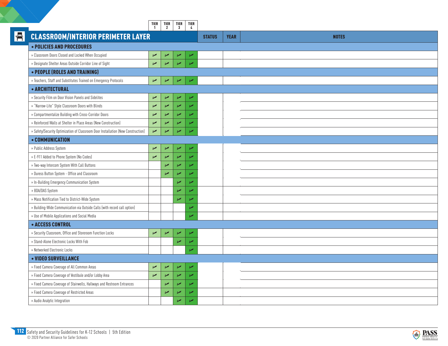|   |                                                                                  | <b>TIER</b><br>$\mathbf{1}$ |                          | TIER   TIER<br>2   3     | TIER<br>4                |               |             |              |
|---|----------------------------------------------------------------------------------|-----------------------------|--------------------------|--------------------------|--------------------------|---------------|-------------|--------------|
| H | <b>CLASSROOM/INTERIOR PERIMETER LAYER</b>                                        |                             |                          |                          |                          | <b>STATUS</b> | <b>YEAR</b> | <b>NOTES</b> |
|   | • POLICIES AND PROCEDURES                                                        |                             |                          |                          |                          |               |             |              |
|   | » Classroom Doors Closed and Locked When Occupied                                | $\sqrt{2}$                  | $\sqrt{ }$               | ↙                        | ↙                        |               |             |              |
|   | » Designate Shelter Areas Outside Corridor Line of Sight                         | V                           | u                        | بھرا                     |                          |               |             |              |
|   | • PEOPLE (ROLES AND TRAINING)                                                    |                             |                          |                          |                          |               |             |              |
|   | » Teachers, Staff and Substitutes Trained on Emergency Protocols                 | $\sqrt{ }$                  | $\sqrt{ }$               | $\sqrt{2}$               | ↙                        |               |             |              |
|   | • ARCHITECTURAL                                                                  |                             |                          |                          |                          |               |             |              |
|   | » Security Film on Door Vision Panels and Sidelites                              | $\sqrt{2}$                  | $\sqrt{ }$               | $\sqrt{2}$               | ↙                        |               |             |              |
|   | » "Narrow-Lite" Style Classroom Doors with Blinds                                | $\overline{r}$              | $\sqrt{ }$               | $\overline{v}$           | И                        |               |             |              |
|   | » Compartmentalize Building with Cross-Corridor Doors                            | $\overline{r}$              | $\sqrt{ }$               | $\overline{\phantom{a}}$ | ↙                        |               |             |              |
|   | » Reinforced Walls at Shelter in Place Areas (New Construction)                  | $\overline{r}$              | ↙                        | $\overline{v}$           | ↙                        |               |             |              |
|   | » Safety/Security Optimization of Classroom Door Installation (New Construction) | Z                           | ↙                        | u                        | مما                      |               |             |              |
|   | • COMMUNICATION                                                                  |                             |                          |                          |                          |               |             |              |
|   | » Public Address System                                                          | $\overline{r}$              | $\sqrt{ }$               | $\sqrt{2}$               | ↙                        |               |             |              |
|   | » E-911 Added to Phone System (No Codes)                                         | $\overline{r}$              | $\sqrt{2}$               | $\overline{v}$           | u                        |               |             |              |
|   | » Two-way Intercom System With Call Buttons                                      |                             | $\overline{\phantom{a}}$ | $\overline{\phantom{a}}$ | مما                      |               |             |              |
|   | » Duress Button System - Office and Classroom                                    |                             | $\sqrt{2}$               | $\overline{\phantom{0}}$ |                          |               |             |              |
|   | » In-Building Emergency Communication System                                     |                             |                          | ↙                        |                          |               |             |              |
|   | » BDA/DAS System                                                                 |                             |                          | u                        | ↙                        |               |             |              |
|   | » Mass Notification Tied to District-Wide System                                 |                             |                          | u                        | u                        |               |             |              |
|   | » Building-Wide Communication via Outside Calls (with record call option)        |                             |                          |                          | u                        |               |             |              |
|   | » Use of Mobile Applications and Social Media                                    |                             |                          |                          | u                        |               |             |              |
|   | <b>• ACCESS CONTROL</b>                                                          |                             |                          |                          |                          |               |             |              |
|   | » Security Classroom, Office and Storeroom Function Locks                        | $\sqrt{ }$                  | $\sqrt{ }$               | $\sqrt{2}$               | ↙                        |               |             |              |
|   | » Stand-Alone Electronic Locks With Fob                                          |                             |                          | z                        | Z                        |               |             |              |
|   | » Networked Electronic Locks                                                     |                             |                          |                          | u                        |               |             |              |
|   | • VIDEO SURVEILLANCE                                                             |                             |                          |                          |                          |               |             |              |
|   | » Fixed Camera Coverage of All Common Areas                                      | $\sqrt{ }$                  | ↙                        | $\overline{r}$           | ↙                        |               |             |              |
|   | » Fixed Camera Coverage of Vestibule and/or Lobby Area                           | $\overline{r}$              | $\sqrt{2}$               | $\sqrt{2}$               | $\overline{\nu}$         |               |             |              |
|   | » Fixed Camera Coverage of Stairwells, Hallways and Restroom Entrances           |                             | $\sqrt{2}$               | $\overline{v}$           | $\overline{\phantom{a}}$ |               |             |              |
|   | » Fixed Camera Coverage of Restricted Areas                                      |                             | $\sqrt{ }$               | $\sqrt{2}$               | ↙                        |               |             |              |
|   | » Audio Analytic Integration                                                     |                             |                          | $\overline{v}$           | مما                      |               |             |              |

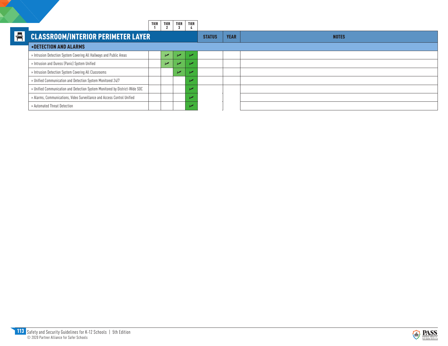|    |                                                                             | <b>TIER</b> | <b>TIER</b> | <b>TIER</b> | <b>TIER</b> |               |             |              |
|----|-----------------------------------------------------------------------------|-------------|-------------|-------------|-------------|---------------|-------------|--------------|
| ▌╉ | <b>CLASSROOM/INTERIOR PERIMETER LAYER</b>                                   |             |             |             |             | <b>STATUS</b> | <b>YEAR</b> | <b>NOTES</b> |
|    | <b>.DETECTION AND ALARMS</b>                                                |             |             |             |             |               |             |              |
|    | » Intrusion Detection System Covering All Hallways and Public Areas         |             | $\sqrt{ }$  |             |             |               |             |              |
|    | » Intrusion and Duress (Panic) System Unified                               |             | $\sqrt{ }$  |             |             |               |             |              |
|    | » Intrusion Detection System Covering All Classrooms                        |             |             | ъZ          |             |               |             |              |
|    | » Unified Communication and Detection System Monitored 24/7                 |             |             |             |             |               |             |              |
|    | » Unified Communication and Detection System Monitored by District-Wide SOC |             |             |             |             |               |             |              |
|    | » Alarms, Communications, Video Surveillance and Access Control Unified     |             |             |             |             |               |             |              |
|    | » Automated Threat Detection                                                |             |             |             |             |               |             |              |